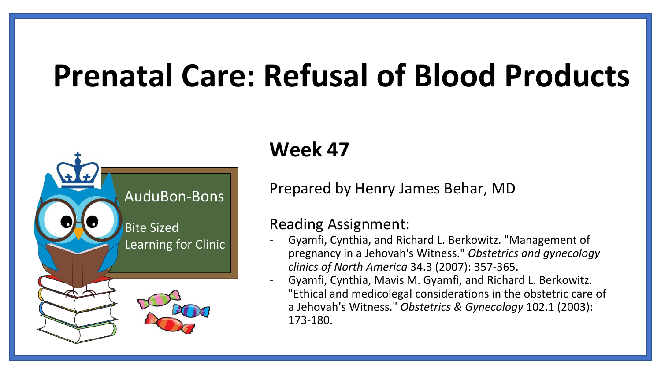# **Prenatal Care: Refusal of Blood Products**



#### **Week 47**

Prepared by Henry James Behar, MD

#### Reading Assignment:

- Gyamfi, Cynthia, and Richard L. Berkowitz. "Management of pregnancy in a Jehovah's Witness." *Obstetrics and gynecology clinics of North America* 34.3 (2007): 357-365.
- Gyamfi, Cynthia, Mavis M. Gyamfi, and Richard L. Berkowitz. "Ethical and medicolegal considerations in the obstetric care of a Jehovah's Witness." *Obstetrics & Gynecology* 102.1 (2003): 173-180.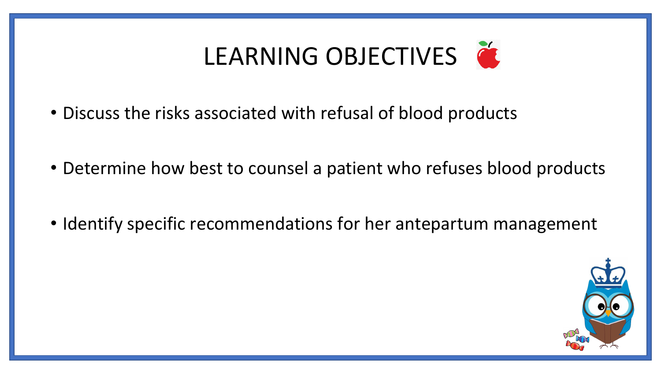

- Discuss the risks associated with refusal of blood products
- Determine how best to counsel a patient who refuses blood products
- Identify specific recommendations for her antepartum management

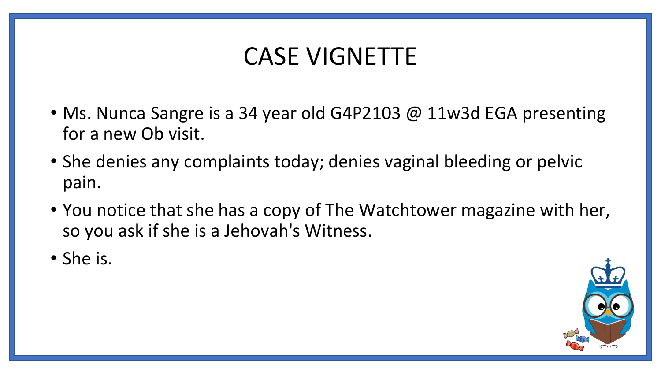### CASE VIGNETTE

- Ms. Nunca Sangre is a 34 year old G4P2103 @ 11w3d EGA presenting for a new Ob visit.
- She denies any complaints today; denies vaginal bleeding or pelvic pain.
- You notice that she has a copy of The Watchtower magazine with her, so you ask if she is a Jehovah's Witness.
- She is.

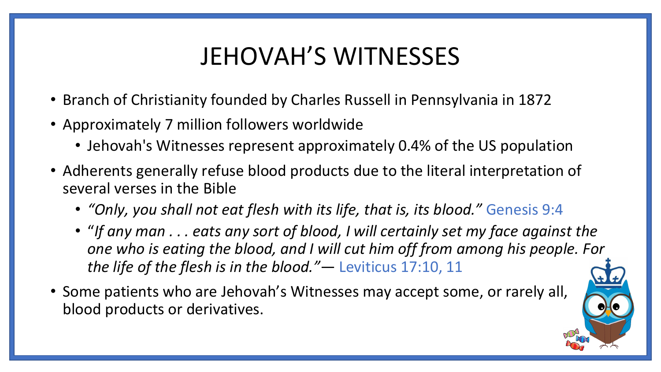# JEHOVAH'S WITNESSES

- Branch of Christianity founded by Charles Russell in Pennsylvania in 1872
- Approximately 7 million followers worldwide
	- Jehovah's Witnesses represent approximately 0.4% of the US population
- Adherents generally refuse blood products due to the literal interpretation of several verses in the Bible
	- *"Only, you shall not eat flesh with its life, that is, its blood."* Genesis 9:4
	- "*If any man . . . eats any sort of blood, I will certainly set my face against the one who is eating the blood, and I will cut him off from among his people. For the life of the flesh is in the blood."*— Leviticus 17:10, 11
- Some patients who are Jehovah's Witnesses may accept some, or rarely all, blood products or derivatives.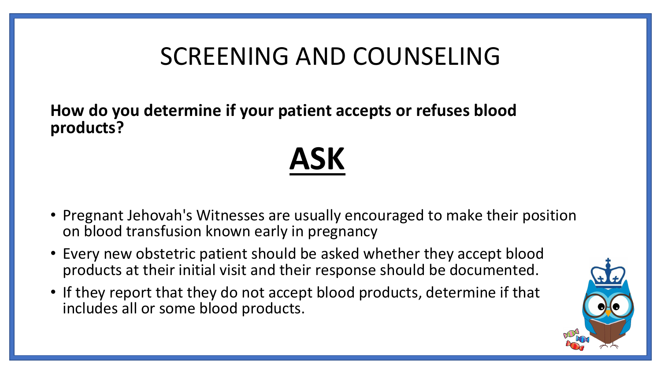**How do you determine if your patient accepts or refuses blood products?**

• Pregnant Jehovah's Witnesses are usually encouraged to make their position on blood transfusion known early in pregnancy

**ASK**

- Every new obstetric patient should be asked whether they accept blood products at their initial visit and their response should be documented.
- If they report that they do not accept blood products, determine if that includes all or some blood products.

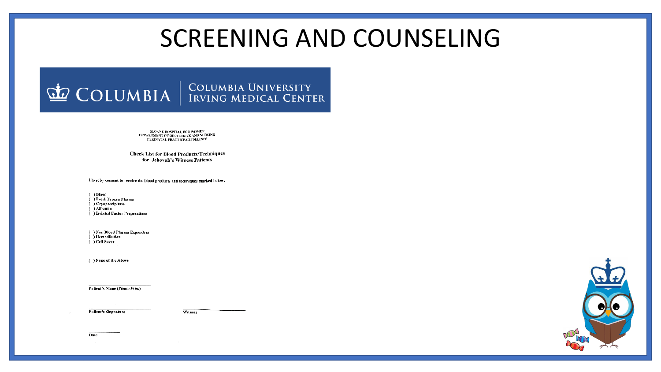# COLUMBIA | COLUMBIA UNIVERSITY

SLOANE HOSPITAL FOR WOMEN DEPARTMENT OF OBSTETRICS AND NURSING PERINATAL PRACTICE GUIDELINES

#### **Check List for Blood Products/Techniques** for Jehovah's Witness Patients

I hereby consent to receive the blood products and techniques marked below:

 $( )$  Blood

( ) Fresh Frozen Plasma

 $( )$  Cryoprecipitate

 $( )$  Albumin

( ) Isolated Factor Preperations

( ) Non Blood Plasma Expanders

 $( )$  Hemodilution

 $( )$  Cell Saver

( ) None of the Above

**Patient's Name (Please Print)** 

**Patient's Singnature** 

Witness

Date

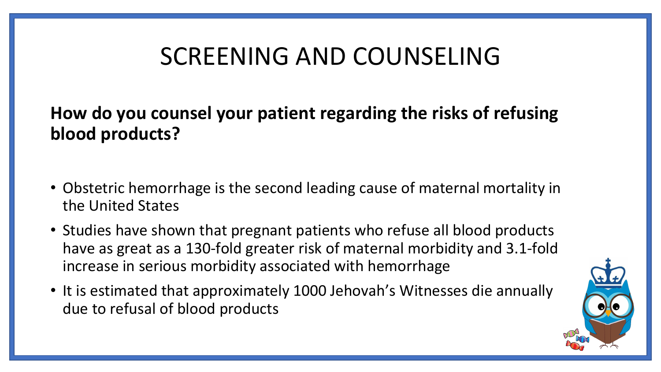**How do you counsel your patient regarding the risks of refusing blood products?**

- Obstetric hemorrhage is the second leading cause of maternal mortality in the United States
- Studies have shown that pregnant patients who refuse all blood products have as great as a 130-fold greater risk of maternal morbidity and 3.1-fold increase in serious morbidity associated with hemorrhage
- It is estimated that approximately 1000 Jehovah's Witnesses die annually due to refusal of blood products

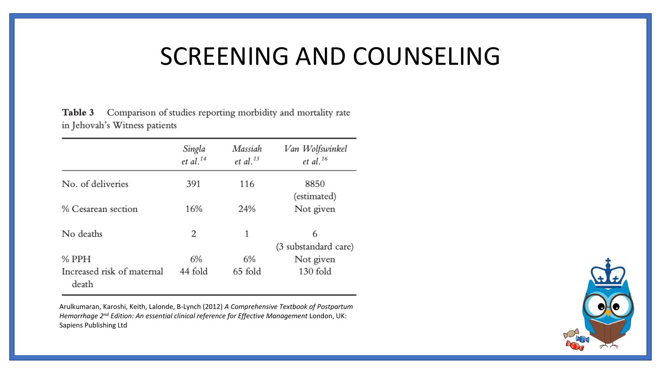Table 3 Comparison of studies reporting morbidity and mortality rate in Jehovah's Witness patients

|                                     | Singla<br>$et$ al. <sup>14</sup> | Massiah<br>et al. <sup>15</sup> | Van Wolfswinkel<br>et al. $16$ |
|-------------------------------------|----------------------------------|---------------------------------|--------------------------------|
| No. of deliveries                   | 391                              | 116                             | 8850                           |
|                                     |                                  |                                 | (estimated)                    |
| % Cesarean section                  | 16%                              | 24%                             | Not given                      |
| No deaths                           | 2                                | 1                               | 6                              |
|                                     |                                  |                                 | (3 substandard care)           |
| $%$ PPH                             | 6%                               | 6%                              | Not given                      |
| Increased risk of maternal<br>death | 44 fold                          | 65 fold                         | 130 fold                       |

Arulkumaran, Karoshi, Keith, Lalonde, B-Lynch (2012) *A Comprehensive Textbook of Postpartum Hemorrhage 2nd Edition: An essential clinical reference for Effective Management* London, UK: Sapiens Publishing Ltd

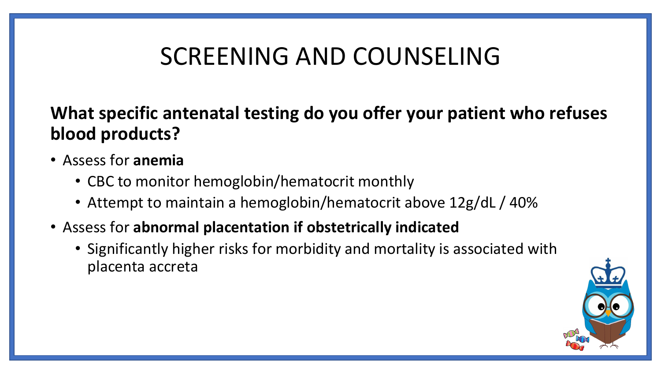#### **What specific antenatal testing do you offer your patient who refuses blood products?**

- Assess for **anemia**
	- CBC to monitor hemoglobin/hematocrit monthly
	- Attempt to maintain a hemoglobin/hematocrit above 12g/dL / 40%
- Assess for **abnormal placentation if obstetrically indicated**
	- Significantly higher risks for morbidity and mortality is associated with placenta accreta

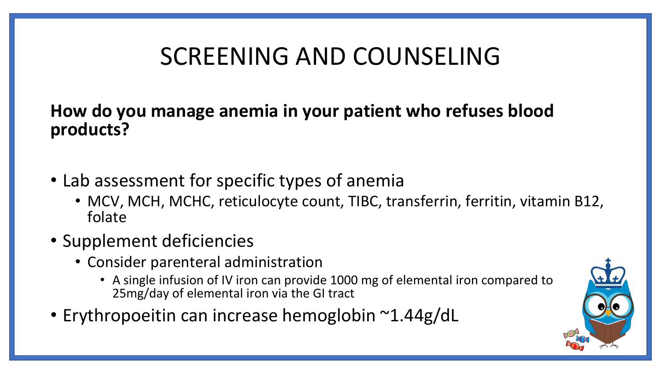**How do you manage anemia in your patient who refuses blood products?** 

- Lab assessment for specific types of anemia
	- MCV, MCH, MCHC, reticulocyte count, TIBC, transferrin, ferritin, vitamin B12, folate
- Supplement deficiencies
	- Consider parenteral administration
		- A single infusion of IV iron can provide 1000 mg of elemental iron compared to 25mg/day of elemental iron via the GI tract
- Erythropoeitin can increase hemoglobin ~1.44g/dL

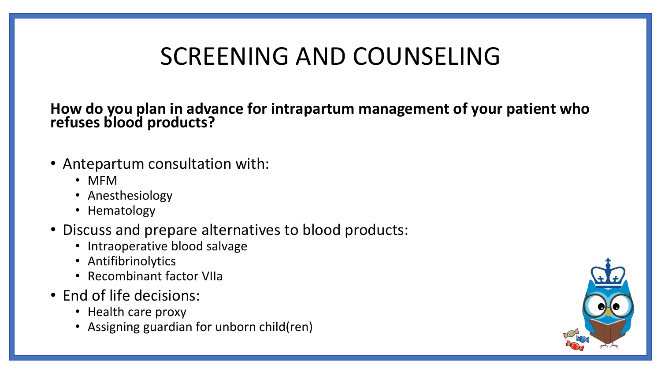**How do you plan in advance for intrapartum management of your patient who refuses blood products?** 

- Antepartum consultation with:
	- MFM
	- Anesthesiology
	- Hematology
- Discuss and prepare alternatives to blood products:
	- Intraoperative blood salvage
	- Antifibrinolytics
	- Recombinant factor VIIa
- End of life decisions:
	- Health care proxy
	- Assigning guardian for unborn child(ren)

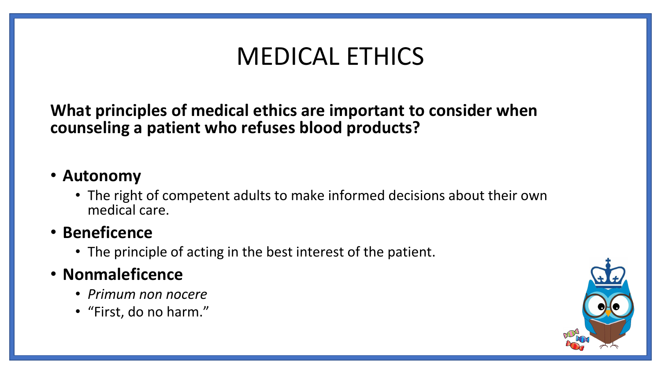# MEDICAL ETHICS

**What principles of medical ethics are important to consider when counseling a patient who refuses blood products?** 

#### • **Autonomy**

• The right of competent adults to make informed decisions about their own medical care.

#### • **Beneficence**

• The principle of acting in the best interest of the patient.

#### • **Nonmaleficence**

- *Primum non nocere*
- "First, do no harm."

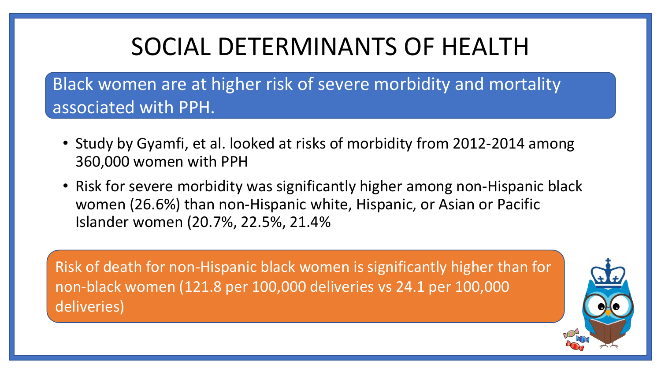# SOCIAL DETERMINANTS OF HEALTH

Black women are at higher risk of severe morbidity and mortality associated with PPH.

- Study by Gyamfi, et al. looked at risks of morbidity from 2012-2014 among 360,000 women with PPH
- Risk for severe morbidity was significantly higher among non-Hispanic black women (26.6%) than non-Hispanic white, Hispanic, or Asian or Pacific Islander women (20.7%, 22.5%, 21.4%

Risk of death for non-Hispanic black women is significantly higher than for non-black women (121.8 per 100,000 deliveries vs 24.1 per 100,000 deliveries)

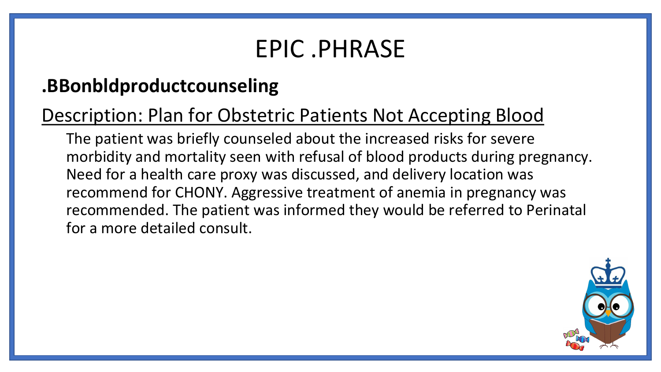#### EPIC .PHRASE

#### **.BBonbldproductcounseling**

#### Description: Plan for Obstetric Patients Not Accepting Blood

The patient was briefly counseled about the increased risks for severe morbidity and mortality seen with refusal of blood products during pregnancy. Need for a health care proxy was discussed, and delivery location was recommend for CHONY. Aggressive treatment of anemia in pregnancy was recommended. The patient was informed they would be referred to Perinatal for a more detailed consult.

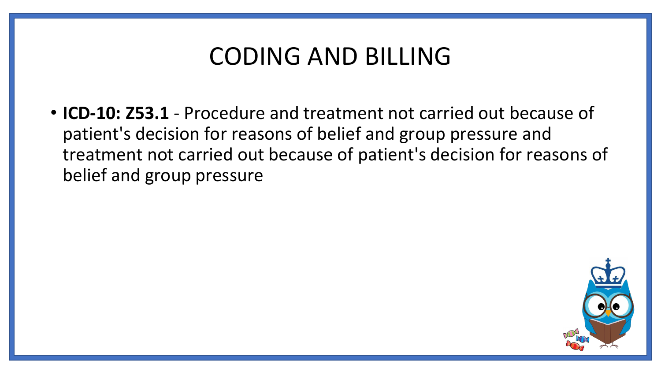#### CODING AND BILLING

• **ICD-10: Z53.1** - Procedure and treatment not carried out because of patient's decision for reasons of belief and group pressure and treatment not carried out because of patient's decision for reasons of belief and group pressure